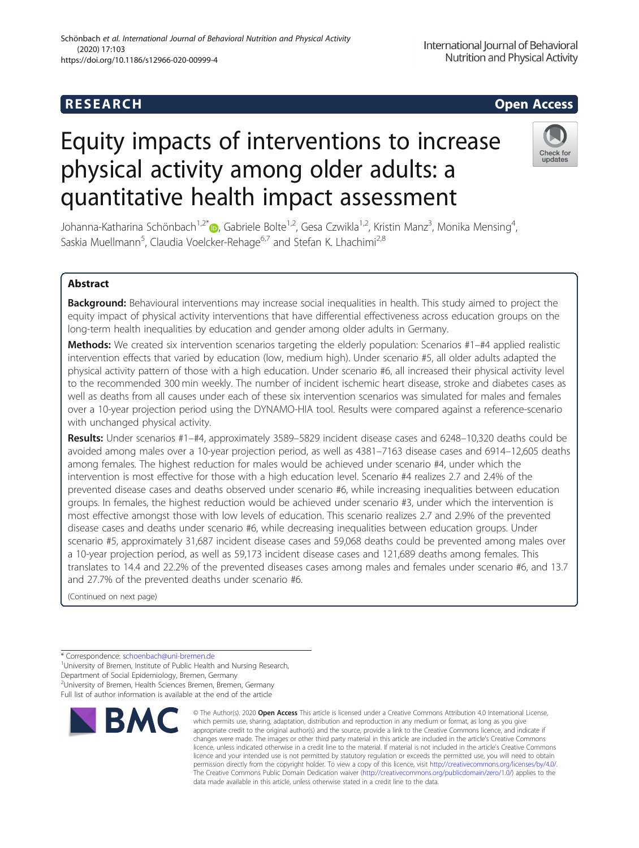# R E S EAR CH Open Access

# Equity impacts of interventions to increase physical activity among older adults: a quantitative health impact assessment



Johanna-Katharina Schönbach<sup>1[,](http://orcid.org/0000-0002-4543-6700)2\*</sup>®, Gabriele Bolte<sup>1,2</sup>, Gesa Czwikla<sup>1,2</sup>, Kristin Manz<sup>3</sup>, Monika Mensing<sup>4</sup> , Saskia Muellmann<sup>5</sup>, Claudia Voelcker-Rehage<sup>6,7</sup> and Stefan K. Lhachimi<sup>2,8</sup>

## Abstract

Background: Behavioural interventions may increase social inequalities in health. This study aimed to project the equity impact of physical activity interventions that have differential effectiveness across education groups on the long-term health inequalities by education and gender among older adults in Germany.

Methods: We created six intervention scenarios targeting the elderly population: Scenarios #1–#4 applied realistic intervention effects that varied by education (low, medium high). Under scenario #5, all older adults adapted the physical activity pattern of those with a high education. Under scenario #6, all increased their physical activity level to the recommended 300 min weekly. The number of incident ischemic heart disease, stroke and diabetes cases as well as deaths from all causes under each of these six intervention scenarios was simulated for males and females over a 10-year projection period using the DYNAMO-HIA tool. Results were compared against a reference-scenario with unchanged physical activity.

Results: Under scenarios #1–#4, approximately 3589–5829 incident disease cases and 6248–10,320 deaths could be avoided among males over a 10-year projection period, as well as 4381–7163 disease cases and 6914–12,605 deaths among females. The highest reduction for males would be achieved under scenario #4, under which the intervention is most effective for those with a high education level. Scenario #4 realizes 2.7 and 2.4% of the prevented disease cases and deaths observed under scenario #6, while increasing inequalities between education groups. In females, the highest reduction would be achieved under scenario #3, under which the intervention is most effective amongst those with low levels of education. This scenario realizes 2.7 and 2.9% of the prevented disease cases and deaths under scenario #6, while decreasing inequalities between education groups. Under scenario #5, approximately 31,687 incident disease cases and 59,068 deaths could be prevented among males over a 10-year projection period, as well as 59,173 incident disease cases and 121,689 deaths among females. This translates to 14.4 and 22.2% of the prevented diseases cases among males and females under scenario #6, and 13.7 and 27.7% of the prevented deaths under scenario #6.

(Continued on next page)

2 University of Bremen, Health Sciences Bremen, Bremen, Germany

Full list of author information is available at the end of the article



<sup>©</sup> The Author(s), 2020 **Open Access** This article is licensed under a Creative Commons Attribution 4.0 International License, which permits use, sharing, adaptation, distribution and reproduction in any medium or format, as long as you give appropriate credit to the original author(s) and the source, provide a link to the Creative Commons licence, and indicate if changes were made. The images or other third party material in this article are included in the article's Creative Commons licence, unless indicated otherwise in a credit line to the material. If material is not included in the article's Creative Commons licence and your intended use is not permitted by statutory regulation or exceeds the permitted use, you will need to obtain permission directly from the copyright holder. To view a copy of this licence, visit [http://creativecommons.org/licenses/by/4.0/.](http://creativecommons.org/licenses/by/4.0/) The Creative Commons Public Domain Dedication waiver [\(http://creativecommons.org/publicdomain/zero/1.0/](http://creativecommons.org/publicdomain/zero/1.0/)) applies to the data made available in this article, unless otherwise stated in a credit line to the data.

<sup>\*</sup> Correspondence: [schoenbach@uni-bremen.de](mailto:schoenbach@uni-bremen.de)<br><sup>1</sup>University of Bremen, Institute of Public Health and Nursing Research, Department of Social Epidemiology, Bremen, Germany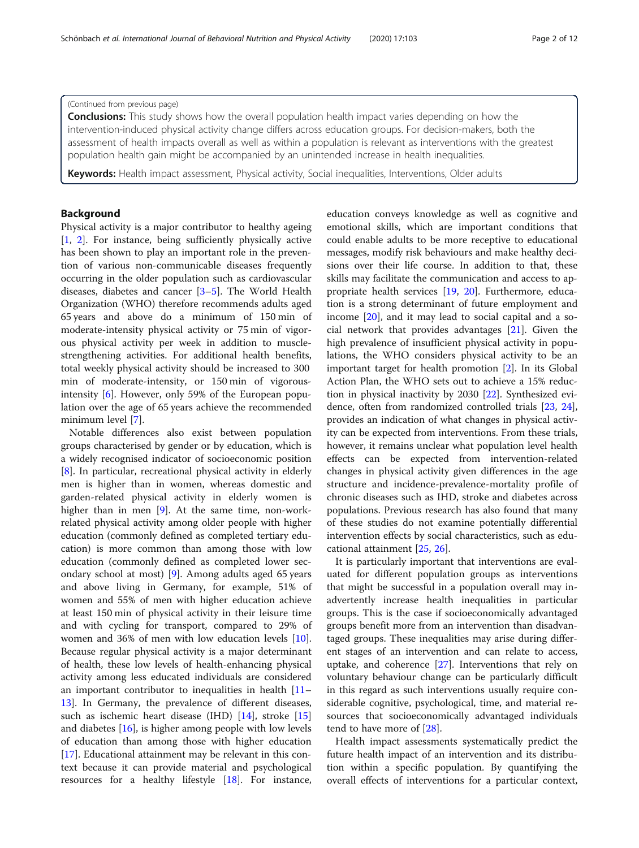#### (Continued from previous page)

**Conclusions:** This study shows how the overall population health impact varies depending on how the intervention-induced physical activity change differs across education groups. For decision-makers, both the assessment of health impacts overall as well as within a population is relevant as interventions with the greatest population health gain might be accompanied by an unintended increase in health inequalities.

Keywords: Health impact assessment, Physical activity, Social inequalities, Interventions, Older adults

#### Background

Physical activity is a major contributor to healthy ageing [[1,](#page-9-0) [2\]](#page-9-0). For instance, being sufficiently physically active has been shown to play an important role in the prevention of various non-communicable diseases frequently occurring in the older population such as cardiovascular diseases, diabetes and cancer [\[3](#page-9-0)–[5](#page-9-0)]. The World Health Organization (WHO) therefore recommends adults aged 65 years and above do a minimum of 150 min of moderate-intensity physical activity or 75 min of vigorous physical activity per week in addition to musclestrengthening activities. For additional health benefits, total weekly physical activity should be increased to 300 min of moderate-intensity, or 150 min of vigorousintensity [\[6](#page-9-0)]. However, only 59% of the European population over the age of 65 years achieve the recommended minimum level [[7](#page-9-0)].

Notable differences also exist between population groups characterised by gender or by education, which is a widely recognised indicator of socioeconomic position [[8\]](#page-9-0). In particular, recreational physical activity in elderly men is higher than in women, whereas domestic and garden-related physical activity in elderly women is higher than in men [[9\]](#page-9-0). At the same time, non-workrelated physical activity among older people with higher education (commonly defined as completed tertiary education) is more common than among those with low education (commonly defined as completed lower secondary school at most) [[9\]](#page-9-0). Among adults aged 65 years and above living in Germany, for example, 51% of women and 55% of men with higher education achieve at least 150 min of physical activity in their leisure time and with cycling for transport, compared to 29% of women and 36% of men with low education levels [\[10](#page-9-0)]. Because regular physical activity is a major determinant of health, these low levels of health-enhancing physical activity among less educated individuals are considered an important contributor to inequalities in health [[11](#page-9-0)– [13\]](#page-10-0). In Germany, the prevalence of different diseases, such as ischemic heart disease (IHD) [[14\]](#page-10-0), stroke [[15](#page-10-0)] and diabetes [[16](#page-10-0)], is higher among people with low levels of education than among those with higher education [[17\]](#page-10-0). Educational attainment may be relevant in this context because it can provide material and psychological resources for a healthy lifestyle [\[18](#page-10-0)]. For instance, education conveys knowledge as well as cognitive and emotional skills, which are important conditions that could enable adults to be more receptive to educational messages, modify risk behaviours and make healthy decisions over their life course. In addition to that, these skills may facilitate the communication and access to ap-propriate health services [[19,](#page-10-0) [20](#page-10-0)]. Furthermore, education is a strong determinant of future employment and income [[20\]](#page-10-0), and it may lead to social capital and a social network that provides advantages [\[21\]](#page-10-0). Given the high prevalence of insufficient physical activity in populations, the WHO considers physical activity to be an important target for health promotion [[2\]](#page-9-0). In its Global Action Plan, the WHO sets out to achieve a 15% reduction in physical inactivity by 2030 [\[22\]](#page-10-0). Synthesized evidence, often from randomized controlled trials [[23](#page-10-0), [24](#page-10-0)], provides an indication of what changes in physical activity can be expected from interventions. From these trials, however, it remains unclear what population level health effects can be expected from intervention-related changes in physical activity given differences in the age structure and incidence-prevalence-mortality profile of chronic diseases such as IHD, stroke and diabetes across populations. Previous research has also found that many of these studies do not examine potentially differential intervention effects by social characteristics, such as educational attainment [\[25,](#page-10-0) [26\]](#page-10-0).

It is particularly important that interventions are evaluated for different population groups as interventions that might be successful in a population overall may inadvertently increase health inequalities in particular groups. This is the case if socioeconomically advantaged groups benefit more from an intervention than disadvantaged groups. These inequalities may arise during different stages of an intervention and can relate to access, uptake, and coherence [\[27](#page-10-0)]. Interventions that rely on voluntary behaviour change can be particularly difficult in this regard as such interventions usually require considerable cognitive, psychological, time, and material resources that socioeconomically advantaged individuals tend to have more of [\[28\]](#page-10-0).

Health impact assessments systematically predict the future health impact of an intervention and its distribution within a specific population. By quantifying the overall effects of interventions for a particular context,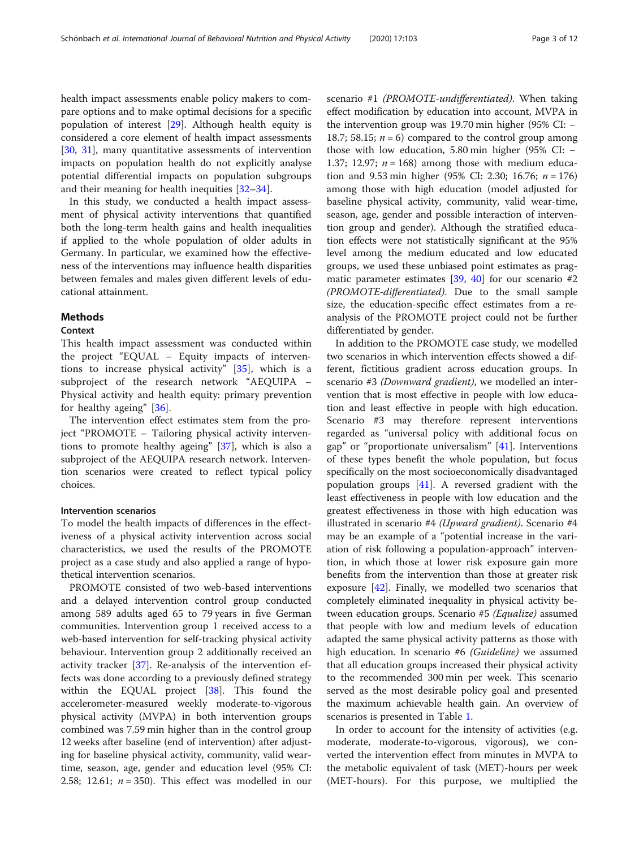health impact assessments enable policy makers to compare options and to make optimal decisions for a specific population of interest [[29\]](#page-10-0). Although health equity is considered a core element of health impact assessments [[30,](#page-10-0) [31](#page-10-0)], many quantitative assessments of intervention impacts on population health do not explicitly analyse potential differential impacts on population subgroups and their meaning for health inequities [[32](#page-10-0)–[34](#page-10-0)].

In this study, we conducted a health impact assessment of physical activity interventions that quantified both the long-term health gains and health inequalities if applied to the whole population of older adults in Germany. In particular, we examined how the effectiveness of the interventions may influence health disparities between females and males given different levels of educational attainment.

#### Methods

#### Context

This health impact assessment was conducted within the project "EQUAL – Equity impacts of interventions to increase physical activity" [[35\]](#page-10-0), which is a subproject of the research network "AEQUIPA – Physical activity and health equity: primary prevention for healthy ageing" [\[36](#page-10-0)].

The intervention effect estimates stem from the project "PROMOTE – Tailoring physical activity interventions to promote healthy ageing" [[37\]](#page-10-0), which is also a subproject of the AEQUIPA research network. Intervention scenarios were created to reflect typical policy choices.

#### Intervention scenarios

To model the health impacts of differences in the effectiveness of a physical activity intervention across social characteristics, we used the results of the PROMOTE project as a case study and also applied a range of hypothetical intervention scenarios.

PROMOTE consisted of two web-based interventions and a delayed intervention control group conducted among 589 adults aged 65 to 79 years in five German communities. Intervention group 1 received access to a web-based intervention for self-tracking physical activity behaviour. Intervention group 2 additionally received an activity tracker [\[37](#page-10-0)]. Re-analysis of the intervention effects was done according to a previously defined strategy within the EQUAL project [\[38](#page-10-0)]. This found the accelerometer-measured weekly moderate-to-vigorous physical activity (MVPA) in both intervention groups combined was 7.59 min higher than in the control group 12 weeks after baseline (end of intervention) after adjusting for baseline physical activity, community, valid weartime, season, age, gender and education level (95% CI: 2.58; 12.61;  $n = 350$ ). This effect was modelled in our scenario #1 (PROMOTE-undifferentiated). When taking effect modification by education into account, MVPA in the intervention group was 19.70 min higher (95% CI: − 18.7; 58.15;  $n = 6$ ) compared to the control group among those with low education, 5.80 min higher (95% CI: − 1.37; 12.97;  $n = 168$ ) among those with medium education and 9.53 min higher (95% CI: 2.30; 16.76;  $n = 176$ ) among those with high education (model adjusted for baseline physical activity, community, valid wear-time, season, age, gender and possible interaction of intervention group and gender). Although the stratified education effects were not statistically significant at the 95% level among the medium educated and low educated groups, we used these unbiased point estimates as pragmatic parameter estimates  $[39, 40]$  $[39, 40]$  $[39, 40]$  $[39, 40]$  for our scenario #2 (PROMOTE-differentiated). Due to the small sample size, the education-specific effect estimates from a reanalysis of the PROMOTE project could not be further differentiated by gender.

In addition to the PROMOTE case study, we modelled two scenarios in which intervention effects showed a different, fictitious gradient across education groups. In scenario #3 (Downward gradient), we modelled an intervention that is most effective in people with low education and least effective in people with high education. Scenario #3 may therefore represent interventions regarded as "universal policy with additional focus on gap" or "proportionate universalism" [\[41\]](#page-10-0). Interventions of these types benefit the whole population, but focus specifically on the most socioeconomically disadvantaged population groups [[41\]](#page-10-0). A reversed gradient with the least effectiveness in people with low education and the greatest effectiveness in those with high education was illustrated in scenario #4 (Upward gradient). Scenario #4 may be an example of a "potential increase in the variation of risk following a population-approach" intervention, in which those at lower risk exposure gain more benefits from the intervention than those at greater risk exposure [\[42\]](#page-10-0). Finally, we modelled two scenarios that completely eliminated inequality in physical activity between education groups. Scenario #5 (Equalize) assumed that people with low and medium levels of education adapted the same physical activity patterns as those with high education. In scenario #6 (*Guideline*) we assumed that all education groups increased their physical activity to the recommended 300 min per week. This scenario served as the most desirable policy goal and presented the maximum achievable health gain. An overview of scenarios is presented in Table [1.](#page-3-0)

In order to account for the intensity of activities (e.g. moderate, moderate-to-vigorous, vigorous), we converted the intervention effect from minutes in MVPA to the metabolic equivalent of task (MET)-hours per week (MET-hours). For this purpose, we multiplied the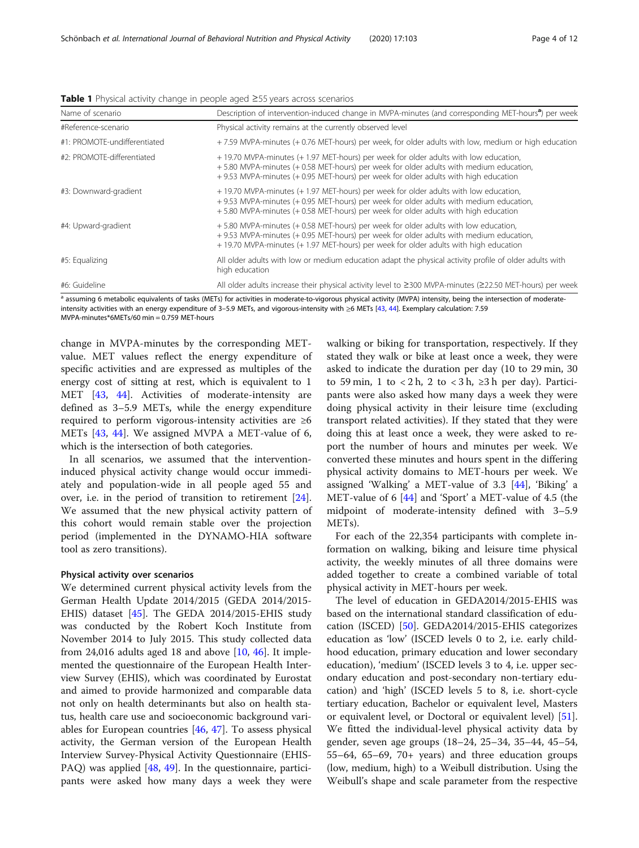<span id="page-3-0"></span>

|  |  | Table 1 Physical activity change in people aged ≥55 years across scenarios |
|--|--|----------------------------------------------------------------------------|
|  |  |                                                                            |

| Name of scenario             | Description of intervention-induced change in MVPA-minutes (and corresponding MET-hours <sup>a</sup> ) per week                                                                                                                                                      |
|------------------------------|----------------------------------------------------------------------------------------------------------------------------------------------------------------------------------------------------------------------------------------------------------------------|
| #Reference-scenario          | Physical activity remains at the currently observed level                                                                                                                                                                                                            |
| #1: PROMOTE-undifferentiated | +7.59 MVPA-minutes (+0.76 MET-hours) per week, for older adults with low, medium or high education                                                                                                                                                                   |
| #2: PROMOTE-differentiated   | +19.70 MVPA-minutes (+1.97 MET-hours) per week for older adults with low education,<br>+5.80 MVPA-minutes (+0.58 MET-hours) per week for older adults with medium education,<br>+9.53 MVPA-minutes (+0.95 MET-hours) per week for older adults with high education   |
| #3: Downward-gradient        | +19.70 MVPA-minutes (+1.97 MET-hours) per week for older adults with low education,<br>+9.53 MVPA-minutes (+0.95 MET-hours) per week for older adults with medium education,<br>+5.80 MVPA-minutes (+0.58 MET-hours) per week for older adults with high education   |
| #4: Upward-gradient          | +5.80 MVPA-minutes (+0.58 MET-hours) per week for older adults with low education,<br>+9.53 MVPA-minutes (+0.95 MET-hours) per week for older adults with medium education,<br>+ 19.70 MVPA-minutes (+ 1.97 MET-hours) per week for older adults with high education |
| #5: Equalizing               | All older adults with low or medium education adapt the physical activity profile of older adults with<br>high education                                                                                                                                             |
| #6: Guideline                | All older adults increase their physical activity level to ≥300 MVPA-minutes (≥22.50 MET-hours) per week                                                                                                                                                             |

a assuming 6 metabolic equivalents of tasks (METs) for activities in moderate-to-vigorous physical activity (MVPA) intensity, being the intersection of moderateintensity activities with an energy expenditure of 3–5.9 METs, and vigorous-intensity with ≥6 METs [[43](#page-10-0), [44\]](#page-10-0). Exemplary calculation: 7.59 MVPA-minutes\*6METs/60 min = 0.759 MET-hours

change in MVPA-minutes by the corresponding METvalue. MET values reflect the energy expenditure of specific activities and are expressed as multiples of the energy cost of sitting at rest, which is equivalent to 1 MET [[43,](#page-10-0) [44](#page-10-0)]. Activities of moderate-intensity are defined as 3–5.9 METs, while the energy expenditure required to perform vigorous-intensity activities are ≥6 METs [[43,](#page-10-0) [44\]](#page-10-0). We assigned MVPA a MET-value of 6, which is the intersection of both categories.

In all scenarios, we assumed that the interventioninduced physical activity change would occur immediately and population-wide in all people aged 55 and over, i.e. in the period of transition to retirement [\[24](#page-10-0)]. We assumed that the new physical activity pattern of this cohort would remain stable over the projection period (implemented in the DYNAMO-HIA software tool as zero transitions).

#### Physical activity over scenarios

We determined current physical activity levels from the German Health Update 2014/2015 (GEDA 2014/2015- EHIS) dataset [[45\]](#page-10-0). The GEDA 2014/2015-EHIS study was conducted by the Robert Koch Institute from November 2014 to July 2015. This study collected data from 24,016 adults aged 18 and above  $[10, 46]$  $[10, 46]$  $[10, 46]$  $[10, 46]$ . It implemented the questionnaire of the European Health Interview Survey (EHIS), which was coordinated by Eurostat and aimed to provide harmonized and comparable data not only on health determinants but also on health status, health care use and socioeconomic background variables for European countries [[46,](#page-10-0) [47](#page-10-0)]. To assess physical activity, the German version of the European Health Interview Survey-Physical Activity Questionnaire (EHIS-PAQ) was applied [[48,](#page-10-0) [49](#page-10-0)]. In the questionnaire, participants were asked how many days a week they were walking or biking for transportation, respectively. If they stated they walk or bike at least once a week, they were asked to indicate the duration per day (10 to 29 min, 30 to 59 min, 1 to  $\langle 2h, 2 \rangle$  to  $\langle 3h, \rangle$  2 h per day). Participants were also asked how many days a week they were doing physical activity in their leisure time (excluding transport related activities). If they stated that they were doing this at least once a week, they were asked to report the number of hours and minutes per week. We converted these minutes and hours spent in the differing physical activity domains to MET-hours per week. We assigned 'Walking' a MET-value of 3.3 [[44](#page-10-0)], 'Biking' a MET-value of 6 [\[44\]](#page-10-0) and 'Sport' a MET-value of 4.5 (the midpoint of moderate-intensity defined with 3–5.9 METs).

For each of the 22,354 participants with complete information on walking, biking and leisure time physical activity, the weekly minutes of all three domains were added together to create a combined variable of total physical activity in MET-hours per week.

The level of education in GEDA2014/2015-EHIS was based on the international standard classification of education (ISCED) [\[50](#page-10-0)]. GEDA2014/2015-EHIS categorizes education as 'low' (ISCED levels 0 to 2, i.e. early childhood education, primary education and lower secondary education), 'medium' (ISCED levels 3 to 4, i.e. upper secondary education and post-secondary non-tertiary education) and 'high' (ISCED levels 5 to 8, i.e. short-cycle tertiary education, Bachelor or equivalent level, Masters or equivalent level, or Doctoral or equivalent level) [\[51](#page-10-0)]. We fitted the individual-level physical activity data by gender, seven age groups (18–24, 25–34, 35–44, 45–54, 55–64, 65–69, 70+ years) and three education groups (low, medium, high) to a Weibull distribution. Using the Weibull's shape and scale parameter from the respective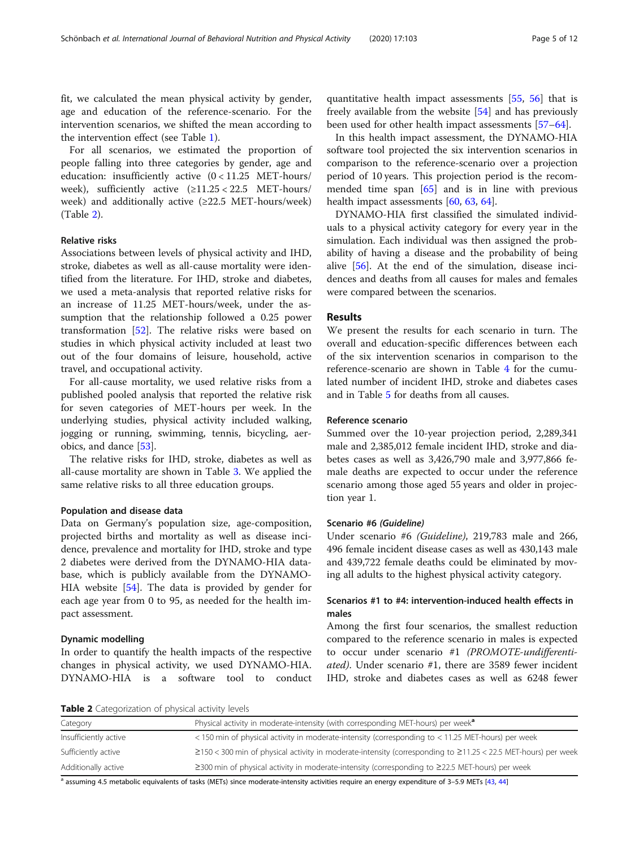fit, we calculated the mean physical activity by gender, age and education of the reference-scenario. For the intervention scenarios, we shifted the mean according to the intervention effect (see Table [1\)](#page-3-0).

For all scenarios, we estimated the proportion of people falling into three categories by gender, age and education: insufficiently active (0 < 11.25 MET-hours/ week), sufficiently active  $(≥11.25 < 22.5$  MET-hours/ week) and additionally active (≥22.5 MET-hours/week) (Table 2).

#### Relative risks

Associations between levels of physical activity and IHD, stroke, diabetes as well as all-cause mortality were identified from the literature. For IHD, stroke and diabetes, we used a meta-analysis that reported relative risks for an increase of 11.25 MET-hours/week, under the assumption that the relationship followed a 0.25 power transformation [\[52\]](#page-10-0). The relative risks were based on studies in which physical activity included at least two out of the four domains of leisure, household, active travel, and occupational activity.

For all-cause mortality, we used relative risks from a published pooled analysis that reported the relative risk for seven categories of MET-hours per week. In the underlying studies, physical activity included walking, jogging or running, swimming, tennis, bicycling, aerobics, and dance [[53](#page-10-0)].

The relative risks for IHD, stroke, diabetes as well as all-cause mortality are shown in Table [3](#page-5-0). We applied the same relative risks to all three education groups.

#### Population and disease data

Data on Germany's population size, age-composition, projected births and mortality as well as disease incidence, prevalence and mortality for IHD, stroke and type 2 diabetes were derived from the DYNAMO-HIA database, which is publicly available from the DYNAMO-HIA website [\[54](#page-10-0)]. The data is provided by gender for each age year from 0 to 95, as needed for the health impact assessment.

#### Dynamic modelling

In order to quantify the health impacts of the respective changes in physical activity, we used DYNAMO-HIA. DYNAMO-HIA is a software tool to conduct

quantitative health impact assessments [[55,](#page-10-0) [56\]](#page-10-0) that is freely available from the website [\[54](#page-10-0)] and has previously been used for other health impact assessments [[57](#page-10-0)–[64](#page-11-0)].

In this health impact assessment, the DYNAMO-HIA software tool projected the six intervention scenarios in comparison to the reference-scenario over a projection period of 10 years. This projection period is the recommended time span [[65\]](#page-11-0) and is in line with previous health impact assessments [[60](#page-11-0), [63](#page-11-0), [64](#page-11-0)].

DYNAMO-HIA first classified the simulated individuals to a physical activity category for every year in the simulation. Each individual was then assigned the probability of having a disease and the probability of being alive [\[56](#page-10-0)]. At the end of the simulation, disease incidences and deaths from all causes for males and females were compared between the scenarios.

#### Results

We present the results for each scenario in turn. The overall and education-specific differences between each of the six intervention scenarios in comparison to the reference-scenario are shown in Table [4](#page-6-0) for the cumulated number of incident IHD, stroke and diabetes cases and in Table [5](#page-7-0) for deaths from all causes.

#### Reference scenario

Summed over the 10-year projection period, 2,289,341 male and 2,385,012 female incident IHD, stroke and diabetes cases as well as 3,426,790 male and 3,977,866 female deaths are expected to occur under the reference scenario among those aged 55 years and older in projection year 1.

#### Scenario #6 (Guideline)

Under scenario #6 (Guideline), 219,783 male and 266, 496 female incident disease cases as well as 430,143 male and 439,722 female deaths could be eliminated by moving all adults to the highest physical activity category.

#### Scenarios #1 to #4: intervention-induced health effects in males

Among the first four scenarios, the smallest reduction compared to the reference scenario in males is expected to occur under scenario #1 (PROMOTE-undifferentiated). Under scenario #1, there are 3589 fewer incident IHD, stroke and diabetes cases as well as 6248 fewer

Table 2 Categorization of physical activity levels

| Category              | Physical activity in moderate-intensity (with corresponding MET-hours) per week <sup>a</sup>                              |
|-----------------------|---------------------------------------------------------------------------------------------------------------------------|
| Insufficiently active | <150 min of physical activity in moderate-intensity (corresponding to <11.25 MET-hours) per week                          |
| Sufficiently active   | $\geq$ 150 < 300 min of physical activity in moderate-intensity (corresponding to $\geq$ 11.25 < 22.5 MET-hours) per week |
| Additionally active   | $\geq$ 300 min of physical activity in moderate-intensity (corresponding to $\geq$ 22.5 MET-hours) per week               |

a assuming 4.5 metabolic equivalents of tasks (METs) since moderate-intensity activities require an energy expenditure of 3-5.9 METs [\[43](#page-10-0), [44](#page-10-0)]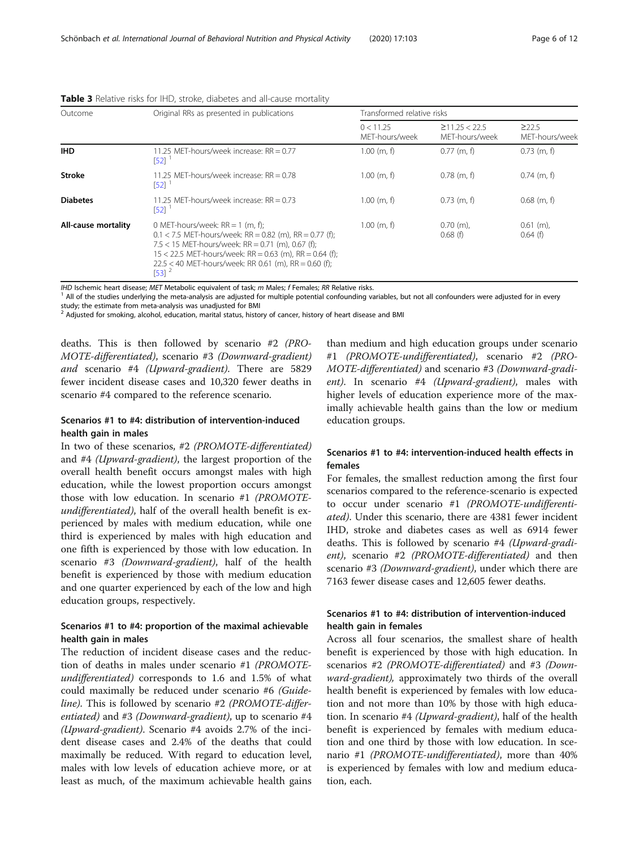| Page 6 of 12 |
|--------------|
|--------------|

| Outcome             | Original RRs as presented in publications                                                                                                                                                                                                                                                           | Transformed relative risks  |                                       |                           |
|---------------------|-----------------------------------------------------------------------------------------------------------------------------------------------------------------------------------------------------------------------------------------------------------------------------------------------------|-----------------------------|---------------------------------------|---------------------------|
|                     |                                                                                                                                                                                                                                                                                                     | 0 < 11.25<br>MET-hours/week | $\geq$ 11.25 < 22.5<br>MET-hours/week | 222.5<br>MET-hours/week   |
| <b>IHD</b>          | 11.25 MET-hours/week increase: RR = 0.77<br>[52]                                                                                                                                                                                                                                                    | $1.00$ (m, f)               | $0.77$ (m, f)                         | $0.73$ (m, f)             |
| <b>Stroke</b>       | 11.25 MET-hours/week increase: RR = 0.78<br>[52]                                                                                                                                                                                                                                                    | $1.00$ (m, f)               | $0.78$ (m, f)                         | $0.74$ (m, f)             |
| <b>Diabetes</b>     | 11.25 MFT-hours/week increase: $RR = 0.73$<br>[52]                                                                                                                                                                                                                                                  | $1.00$ (m, f)               | $0.73$ (m, f)                         | $0.68$ (m, f)             |
| All-cause mortality | 0 MET-hours/week: $RR = 1$ (m, f);<br>$0.1 < 7.5$ MET-hours/week: RR = 0.82 (m), RR = 0.77 (f);<br>7.5 < 15 MET-hours/week: RR = 0.71 (m), 0.67 (f);<br>$15 < 22.5$ MET-hours/week: RR = 0.63 (m), RR = 0.64 (f);<br>$22.5 < 40$ MET-hours/week: RR 0.61 (m), RR = 0.60 (f):<br>$[53]$ <sup>2</sup> | $1.00$ (m, f)               | $0.70$ (m),<br>0.68(f)                | $0.61$ (m),<br>$0.64$ (f) |

<span id="page-5-0"></span>Table 3 Relative risks for IHD, stroke, diabetes and all-cause mortality

IHD Ischemic heart disease; MET Metabolic equivalent of task; m Males; f Females; RR Relative risks.<br><sup>1</sup> All of the studies underlying the meta-analysis are adjusted for multiple potential confounding variables, but not al study; the estimate from meta-analysis was unadjusted for BMI

<sup>2</sup> Adjusted for smoking, alcohol, education, marital status, history of cancer, history of heart disease and BMI

deaths. This is then followed by scenario #2 (PRO-MOTE-differentiated), scenario #3 (Downward-gradient) and scenario #4 (Upward-gradient). There are 5829 fewer incident disease cases and 10,320 fewer deaths in scenario #4 compared to the reference scenario.

#### Scenarios #1 to #4: distribution of intervention-induced health gain in males

In two of these scenarios, #2 (PROMOTE-differentiated) and #4 (Upward-gradient), the largest proportion of the overall health benefit occurs amongst males with high education, while the lowest proportion occurs amongst those with low education. In scenario #1 (PROMOTEundifferentiated), half of the overall health benefit is experienced by males with medium education, while one third is experienced by males with high education and one fifth is experienced by those with low education. In scenario #3 (Downward-gradient), half of the health benefit is experienced by those with medium education and one quarter experienced by each of the low and high education groups, respectively.

#### Scenarios #1 to #4: proportion of the maximal achievable health gain in males

The reduction of incident disease cases and the reduction of deaths in males under scenario #1 (PROMOTEundifferentiated) corresponds to 1.6 and 1.5% of what could maximally be reduced under scenario #6 (Guideline). This is followed by scenario #2 (PROMOTE-differentiated) and #3 (Downward-gradient), up to scenario #4 (Upward-gradient). Scenario #4 avoids 2.7% of the incident disease cases and 2.4% of the deaths that could maximally be reduced. With regard to education level, males with low levels of education achieve more, or at least as much, of the maximum achievable health gains

than medium and high education groups under scenario #1 (PROMOTE-undifferentiated), scenario #2 (PRO-MOTE-differentiated) and scenario #3 (Downward-gradient). In scenario #4 (Upward-gradient), males with higher levels of education experience more of the maximally achievable health gains than the low or medium education groups.

#### Scenarios #1 to #4: intervention-induced health effects in females

For females, the smallest reduction among the first four scenarios compared to the reference-scenario is expected to occur under scenario #1 (PROMOTE-undifferentiated). Under this scenario, there are 4381 fewer incident IHD, stroke and diabetes cases as well as 6914 fewer deaths. This is followed by scenario #4 (Upward-gradient), scenario #2 (PROMOTE-differentiated) and then scenario #3 (Downward-gradient), under which there are 7163 fewer disease cases and 12,605 fewer deaths.

### Scenarios #1 to #4: distribution of intervention-induced health gain in females

Across all four scenarios, the smallest share of health benefit is experienced by those with high education. In scenarios #2 (PROMOTE-differentiated) and #3 (Downward-gradient), approximately two thirds of the overall health benefit is experienced by females with low education and not more than 10% by those with high education. In scenario #4 (*Upward-gradient*), half of the health benefit is experienced by females with medium education and one third by those with low education. In scenario #1 (PROMOTE-undifferentiated), more than 40% is experienced by females with low and medium education, each.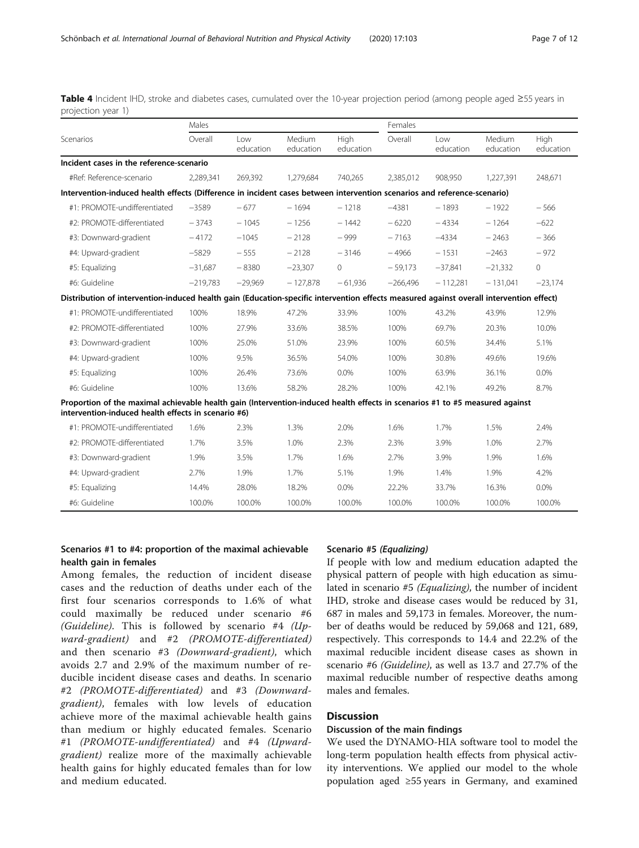|                                                                                                                                                                                     | Males      |                  |                            |                   | Females    |                  |                     |                   |
|-------------------------------------------------------------------------------------------------------------------------------------------------------------------------------------|------------|------------------|----------------------------|-------------------|------------|------------------|---------------------|-------------------|
| Scenarios                                                                                                                                                                           | Overall    | Low<br>education | <b>Medium</b><br>education | High<br>education | Overall    | Low<br>education | Medium<br>education | High<br>education |
| Incident cases in the reference-scenario                                                                                                                                            |            |                  |                            |                   |            |                  |                     |                   |
| #Ref: Reference-scenario                                                                                                                                                            | 2,289,341  | 269,392          | 1,279,684                  | 740,265           | 2,385,012  | 908,950          | 1,227,391           | 248,671           |
| Intervention-induced health effects (Difference in incident cases between intervention scenarios and reference-scenario)                                                            |            |                  |                            |                   |            |                  |                     |                   |
| #1: PROMOTE-undifferentiated                                                                                                                                                        | $-3589$    | $-677$           | $-1694$                    | $-1218$           | $-4381$    | $-1893$          | $-1922$             | $-566$            |
| #2: PROMOTE-differentiated                                                                                                                                                          | $-3743$    | $-1045$          | $-1256$                    | $-1442$           | $-6220$    | $-4334$          | $-1264$             | $-622$            |
| #3: Downward-gradient                                                                                                                                                               | $-4172$    | $-1045$          | $-2128$                    | $-999$            | $-7163$    | $-4334$          | $-2463$             | $-366$            |
| #4: Upward-gradient                                                                                                                                                                 | $-5829$    | $-555$           | $-2128$                    | $-3146$           | $-4966$    | $-1531$          | $-2463$             | $-972$            |
| #5: Equalizing                                                                                                                                                                      | $-31.687$  | $-8380$          | $-23,307$                  | $\mathbf{0}$      | $-59.173$  | $-37,841$        | $-21,332$           | $\mathbf{0}$      |
| #6: Guideline                                                                                                                                                                       | $-219.783$ | $-29,969$        | $-127.878$                 | $-61.936$         | $-266.496$ | $-112.281$       | $-131.041$          | $-23,174$         |
| Distribution of intervention-induced health gain (Education-specific intervention effects measured against overall intervention effect)                                             |            |                  |                            |                   |            |                  |                     |                   |
| #1: PROMOTE-undifferentiated                                                                                                                                                        | 100%       | 18.9%            | 47.2%                      | 33.9%             | 100%       | 43.2%            | 43.9%               | 12.9%             |
| #2: PROMOTE-differentiated                                                                                                                                                          | 100%       | 27.9%            | 33.6%                      | 38.5%             | 100%       | 69.7%            | 20.3%               | 10.0%             |
| #3: Downward-gradient                                                                                                                                                               | 100%       | 25.0%            | 51.0%                      | 23.9%             | 100%       | 60.5%            | 34.4%               | 5.1%              |
| #4: Upward-gradient                                                                                                                                                                 | 100%       | 9.5%             | 36.5%                      | 54.0%             | 100%       | 30.8%            | 49.6%               | 19.6%             |
| #5: Equalizing                                                                                                                                                                      | 100%       | 26.4%            | 73.6%                      | $0.0\%$           | 100%       | 63.9%            | 36.1%               | 0.0%              |
| #6: Guideline                                                                                                                                                                       | 100%       | 13.6%            | 58.2%                      | 28.2%             | 100%       | 42.1%            | 49.2%               | 8.7%              |
| Proportion of the maximal achievable health gain (Intervention-induced health effects in scenarios #1 to #5 measured against<br>intervention-induced health effects in scenario #6) |            |                  |                            |                   |            |                  |                     |                   |
| #1: PROMOTE-undifferentiated                                                                                                                                                        | 1.6%       | 2.3%             | 1.3%                       | 2.0%              | 1.6%       | 1.7%             | 1.5%                | 2.4%              |
| #2: PROMOTE-differentiated                                                                                                                                                          | 1.7%       | 3.5%             | 1.0%                       | 2.3%              | 2.3%       | 3.9%             | 1.0%                | 2.7%              |
| #3: Downward-gradient                                                                                                                                                               | 1.9%       | 3.5%             | 1.7%                       | 1.6%              | 2.7%       | 3.9%             | 1.9%                | 1.6%              |
| #4: Upward-gradient                                                                                                                                                                 | 2.7%       | 1.9%             | 1.7%                       | 5.1%              | 1.9%       | 1.4%             | 1.9%                | 4.2%              |
| #5: Equalizing                                                                                                                                                                      | 14.4%      | 28.0%            | 18.2%                      | 0.0%              | 22.2%      | 33.7%            | 16.3%               | 0.0%              |
| #6: Guideline                                                                                                                                                                       | 100.0%     | 100.0%           | 100.0%                     | 100.0%            | 100.0%     | 100.0%           | 100.0%              | 100.0%            |

<span id="page-6-0"></span>Table 4 Incident IHD, stroke and diabetes cases, cumulated over the 10-year projection period (among people aged ≥55 years in projection year 1)

#### Scenarios #1 to #4: proportion of the maximal achievable health gain in females

Among females, the reduction of incident disease cases and the reduction of deaths under each of the first four scenarios corresponds to 1.6% of what could maximally be reduced under scenario #6 (Guideline). This is followed by scenario #4 ( $Up$ ward-gradient) and #2 (PROMOTE-differentiated) and then scenario #3 (Downward-gradient), which avoids 2.7 and 2.9% of the maximum number of reducible incident disease cases and deaths. In scenario #2 (PROMOTE-differentiated) and #3 (Downwardgradient), females with low levels of education achieve more of the maximal achievable health gains than medium or highly educated females. Scenario #1 (PROMOTE-undifferentiated) and #4 (Upwardgradient) realize more of the maximally achievable health gains for highly educated females than for low and medium educated.

#### Scenario #5 (Equalizing)

If people with low and medium education adapted the physical pattern of people with high education as simulated in scenario #5 (Equalizing), the number of incident IHD, stroke and disease cases would be reduced by 31, 687 in males and 59,173 in females. Moreover, the number of deaths would be reduced by 59,068 and 121, 689, respectively. This corresponds to 14.4 and 22.2% of the maximal reducible incident disease cases as shown in scenario #6 (Guideline), as well as 13.7 and 27.7% of the maximal reducible number of respective deaths among males and females.

### **Discussion**

#### Discussion of the main findings

We used the DYNAMO-HIA software tool to model the long-term population health effects from physical activity interventions. We applied our model to the whole population aged ≥55 years in Germany, and examined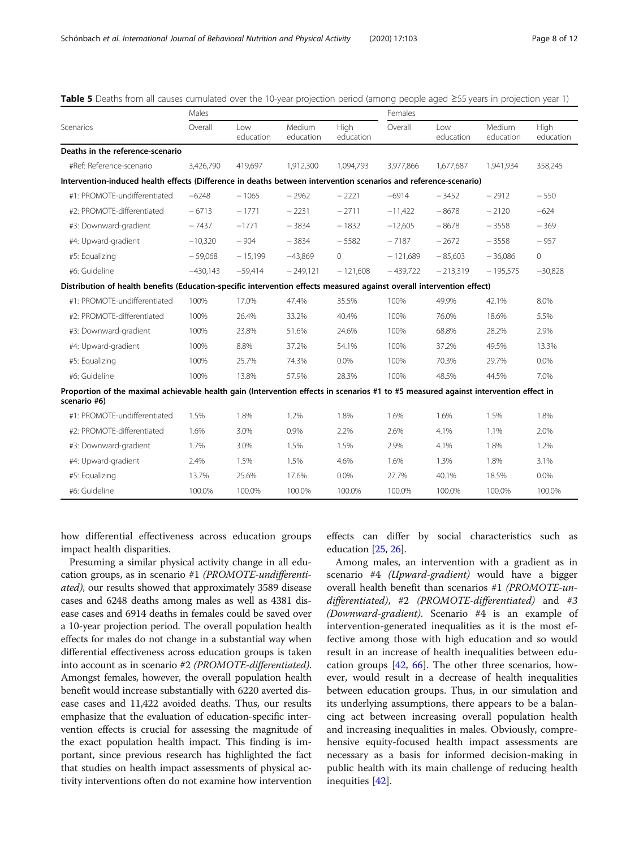|                                                                                                                                                      | Males      |                  |                     |                   | Females    |                  |                            |                   |
|------------------------------------------------------------------------------------------------------------------------------------------------------|------------|------------------|---------------------|-------------------|------------|------------------|----------------------------|-------------------|
| Scenarios                                                                                                                                            | Overall    | Low<br>education | Medium<br>education | High<br>education | Overall    | Low<br>education | <b>Medium</b><br>education | High<br>education |
| Deaths in the reference-scenario                                                                                                                     |            |                  |                     |                   |            |                  |                            |                   |
| #Ref: Reference-scenario                                                                                                                             | 3.426.790  | 419.697          | 1,912,300           | 1.094.793         | 3,977,866  | 1,677,687        | 1.941.934                  | 358,245           |
| Intervention-induced health effects (Difference in deaths between intervention scenarios and reference-scenario)                                     |            |                  |                     |                   |            |                  |                            |                   |
| #1: PROMOTE-undifferentiated                                                                                                                         | $-6248$    | $-1065$          | $-2962$             | $-2221$           | $-6914$    | $-3452$          | $-2912$                    | $-550$            |
| #2: PROMOTE-differentiated                                                                                                                           | $-6713$    | $-1771$          | $-2231$             | $-2711$           | $-11,422$  | $-8678$          | $-2120$                    | $-624$            |
| #3: Downward-gradient                                                                                                                                | $-7437$    | $-1771$          | $-3834$             | $-1832$           | $-12,605$  | $-8678$          | $-3558$                    | $-369$            |
| #4: Upward-gradient                                                                                                                                  | $-10.320$  | $-904$           | $-3834$             | $-5582$           | $-7187$    | $-2672$          | $-3558$                    | $-957$            |
| #5: Equalizing                                                                                                                                       | $-59.068$  | $-15,199$        | $-43.869$           | $\Omega$          | $-121.689$ | $-85,603$        | $-36.086$                  | $\circ$           |
| #6: Guideline                                                                                                                                        | $-430,143$ | $-59,414$        | $-249,121$          | $-121,608$        | $-439,722$ | $-213,319$       | $-195,575$                 | $-30,828$         |
| Distribution of health benefits (Education-specific intervention effects measured against overall intervention effect)                               |            |                  |                     |                   |            |                  |                            |                   |
| #1: PROMOTF-undifferentiated                                                                                                                         | 100%       | 17.0%            | 47.4%               | 35.5%             | 100%       | 49.9%            | 42.1%                      | 8.0%              |
| #2: PROMOTE-differentiated                                                                                                                           | 100%       | 26.4%            | 33.2%               | 40.4%             | 100%       | 76.0%            | 18.6%                      | 5.5%              |
| #3: Downward-gradient                                                                                                                                | 100%       | 23.8%            | 51.6%               | 24.6%             | 100%       | 68.8%            | 28.2%                      | 2.9%              |
| #4: Upward-gradient                                                                                                                                  | 100%       | 8.8%             | 37.2%               | 54.1%             | 100%       | 37.2%            | 49.5%                      | 13.3%             |
| #5: Equalizing                                                                                                                                       | 100%       | 25.7%            | 74.3%               | $0.0\%$           | 100%       | 70.3%            | 29.7%                      | $0.0\%$           |
| #6: Guideline                                                                                                                                        | 100%       | 13.8%            | 57.9%               | 28.3%             | 100%       | 48.5%            | 44.5%                      | 7.0%              |
| Proportion of the maximal achievable health gain (Intervention effects in scenarios #1 to #5 measured against intervention effect in<br>scenario #6) |            |                  |                     |                   |            |                  |                            |                   |
| #1: PROMOTE-undifferentiated                                                                                                                         | 1.5%       | 1.8%             | 1.2%                | 1.8%              | 1.6%       | 1.6%             | 1.5%                       | 1.8%              |
| #2: PROMOTE-differentiated                                                                                                                           | 1.6%       | 3.0%             | 0.9%                | 2.2%              | 2.6%       | 4.1%             | 1.1%                       | 2.0%              |
| #3: Downward-gradient                                                                                                                                | 1.7%       | 3.0%             | 1.5%                | 1.5%              | 2.9%       | 4.1%             | 1.8%                       | 1.2%              |
| #4: Upward-gradient                                                                                                                                  | 2.4%       | 1.5%             | 1.5%                | 4.6%              | 1.6%       | 1.3%             | 1.8%                       | 3.1%              |
| #5: Equalizing                                                                                                                                       | 13.7%      | 25.6%            | 17.6%               | 0.0%              | 27.7%      | 40.1%            | 18.5%                      | $0.0\%$           |
| #6: Guideline                                                                                                                                        | 100.0%     | 100.0%           | 100.0%              | 100.0%            | 100.0%     | 100.0%           | 100.0%                     | 100.0%            |

<span id="page-7-0"></span>

| Table 5 Deaths from all causes cumulated over the 10-year projection period (among people aged ≥55 years in projection year 1) |  |  |  |  |  |
|--------------------------------------------------------------------------------------------------------------------------------|--|--|--|--|--|
|--------------------------------------------------------------------------------------------------------------------------------|--|--|--|--|--|

how differential effectiveness across education groups impact health disparities.

Presuming a similar physical activity change in all education groups, as in scenario #1 (PROMOTE-undifferentiated), our results showed that approximately 3589 disease cases and 6248 deaths among males as well as 4381 disease cases and 6914 deaths in females could be saved over a 10-year projection period. The overall population health effects for males do not change in a substantial way when differential effectiveness across education groups is taken into account as in scenario #2 (PROMOTE-differentiated). Amongst females, however, the overall population health benefit would increase substantially with 6220 averted disease cases and 11,422 avoided deaths. Thus, our results emphasize that the evaluation of education-specific intervention effects is crucial for assessing the magnitude of the exact population health impact. This finding is important, since previous research has highlighted the fact that studies on health impact assessments of physical activity interventions often do not examine how intervention

effects can differ by social characteristics such as education [[25](#page-10-0), [26\]](#page-10-0).

Among males, an intervention with a gradient as in scenario #4 (Upward-gradient) would have a bigger overall health benefit than scenarios #1 (PROMOTE-undifferentiated), #2 (PROMOTE-differentiated) and #3 (Downward-gradient). Scenario #4 is an example of intervention-generated inequalities as it is the most effective among those with high education and so would result in an increase of health inequalities between education groups [[42](#page-10-0), [66](#page-11-0)]. The other three scenarios, however, would result in a decrease of health inequalities between education groups. Thus, in our simulation and its underlying assumptions, there appears to be a balancing act between increasing overall population health and increasing inequalities in males. Obviously, comprehensive equity-focused health impact assessments are necessary as a basis for informed decision-making in public health with its main challenge of reducing health inequities [\[42](#page-10-0)].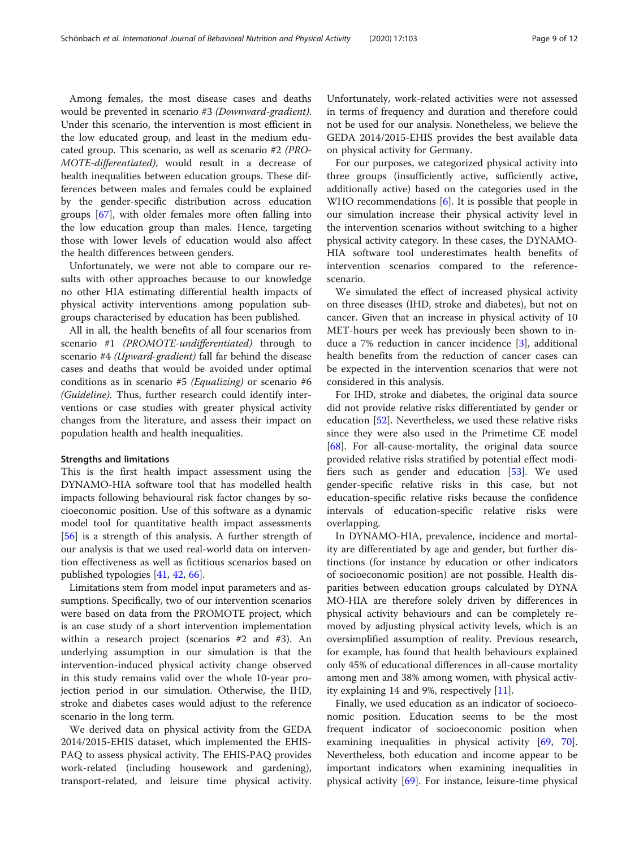Among females, the most disease cases and deaths would be prevented in scenario #3 (Downward-gradient). Under this scenario, the intervention is most efficient in the low educated group, and least in the medium educated group. This scenario, as well as scenario #2 (PRO-MOTE-differentiated), would result in a decrease of health inequalities between education groups. These differences between males and females could be explained by the gender-specific distribution across education groups [[67\]](#page-11-0), with older females more often falling into the low education group than males. Hence, targeting those with lower levels of education would also affect the health differences between genders.

Unfortunately, we were not able to compare our results with other approaches because to our knowledge no other HIA estimating differential health impacts of physical activity interventions among population subgroups characterised by education has been published.

All in all, the health benefits of all four scenarios from scenario #1 (PROMOTE-undifferentiated) through to scenario #4 (Upward-gradient) fall far behind the disease cases and deaths that would be avoided under optimal conditions as in scenario #5 (Equalizing) or scenario #6 (Guideline). Thus, further research could identify interventions or case studies with greater physical activity changes from the literature, and assess their impact on population health and health inequalities.

#### Strengths and limitations

This is the first health impact assessment using the DYNAMO-HIA software tool that has modelled health impacts following behavioural risk factor changes by socioeconomic position. Use of this software as a dynamic model tool for quantitative health impact assessments [[56\]](#page-10-0) is a strength of this analysis. A further strength of our analysis is that we used real-world data on intervention effectiveness as well as fictitious scenarios based on published typologies [\[41](#page-10-0), [42,](#page-10-0) [66\]](#page-11-0).

Limitations stem from model input parameters and assumptions. Specifically, two of our intervention scenarios were based on data from the PROMOTE project, which is an case study of a short intervention implementation within a research project (scenarios #2 and #3). An underlying assumption in our simulation is that the intervention-induced physical activity change observed in this study remains valid over the whole 10-year projection period in our simulation. Otherwise, the IHD, stroke and diabetes cases would adjust to the reference scenario in the long term.

We derived data on physical activity from the GEDA 2014/2015-EHIS dataset, which implemented the EHIS-PAQ to assess physical activity. The EHIS-PAQ provides work-related (including housework and gardening), transport-related, and leisure time physical activity.

Unfortunately, work-related activities were not assessed in terms of frequency and duration and therefore could not be used for our analysis. Nonetheless, we believe the GEDA 2014/2015-EHIS provides the best available data on physical activity for Germany.

For our purposes, we categorized physical activity into three groups (insufficiently active, sufficiently active, additionally active) based on the categories used in the WHO recommendations  $[6]$  $[6]$ . It is possible that people in our simulation increase their physical activity level in the intervention scenarios without switching to a higher physical activity category. In these cases, the DYNAMO-HIA software tool underestimates health benefits of intervention scenarios compared to the referencescenario.

We simulated the effect of increased physical activity on three diseases (IHD, stroke and diabetes), but not on cancer. Given that an increase in physical activity of 10 MET-hours per week has previously been shown to induce a 7% reduction in cancer incidence [[3\]](#page-9-0), additional health benefits from the reduction of cancer cases can be expected in the intervention scenarios that were not considered in this analysis.

For IHD, stroke and diabetes, the original data source did not provide relative risks differentiated by gender or education [\[52\]](#page-10-0). Nevertheless, we used these relative risks since they were also used in the Primetime CE model [[68\]](#page-11-0). For all-cause-mortality, the original data source provided relative risks stratified by potential effect modifiers such as gender and education [[53](#page-10-0)]. We used gender-specific relative risks in this case, but not education-specific relative risks because the confidence intervals of education-specific relative risks were overlapping.

In DYNAMO-HIA, prevalence, incidence and mortality are differentiated by age and gender, but further distinctions (for instance by education or other indicators of socioeconomic position) are not possible. Health disparities between education groups calculated by DYNA MO-HIA are therefore solely driven by differences in physical activity behaviours and can be completely removed by adjusting physical activity levels, which is an oversimplified assumption of reality. Previous research, for example, has found that health behaviours explained only 45% of educational differences in all-cause mortality among men and 38% among women, with physical activity explaining 14 and 9%, respectively [[11\]](#page-9-0).

Finally, we used education as an indicator of socioeconomic position. Education seems to be the most frequent indicator of socioeconomic position when examining inequalities in physical activity [[69,](#page-11-0) [70](#page-11-0)]. Nevertheless, both education and income appear to be important indicators when examining inequalities in physical activity [\[69](#page-11-0)]. For instance, leisure-time physical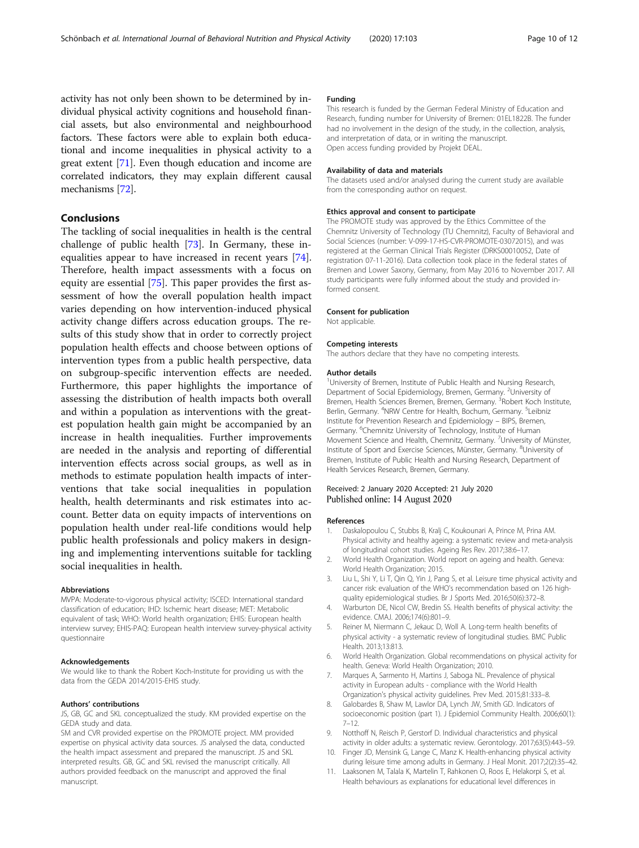<span id="page-9-0"></span>activity has not only been shown to be determined by individual physical activity cognitions and household financial assets, but also environmental and neighbourhood factors. These factors were able to explain both educational and income inequalities in physical activity to a great extent [\[71](#page-11-0)]. Even though education and income are correlated indicators, they may explain different causal mechanisms [\[72\]](#page-11-0).

#### Conclusions

The tackling of social inequalities in health is the central challenge of public health [\[73](#page-11-0)]. In Germany, these inequalities appear to have increased in recent years [\[74](#page-11-0)]. Therefore, health impact assessments with a focus on equity are essential [[75\]](#page-11-0). This paper provides the first assessment of how the overall population health impact varies depending on how intervention-induced physical activity change differs across education groups. The results of this study show that in order to correctly project population health effects and choose between options of intervention types from a public health perspective, data on subgroup-specific intervention effects are needed. Furthermore, this paper highlights the importance of assessing the distribution of health impacts both overall and within a population as interventions with the greatest population health gain might be accompanied by an increase in health inequalities. Further improvements are needed in the analysis and reporting of differential intervention effects across social groups, as well as in methods to estimate population health impacts of interventions that take social inequalities in population health, health determinants and risk estimates into account. Better data on equity impacts of interventions on population health under real-life conditions would help public health professionals and policy makers in designing and implementing interventions suitable for tackling social inequalities in health.

#### Abbreviations

MVPA: Moderate-to-vigorous physical activity; ISCED: International standard classification of education; IHD: Ischemic heart disease; MET: Metabolic equivalent of task; WHO: World health organization; EHIS: European health interview survey; EHIS-PAQ: European health interview survey-physical activity questionnaire

#### Acknowledgements

We would like to thank the Robert Koch-Institute for providing us with the data from the GEDA 2014/2015-EHIS study.

#### Authors' contributions

JS, GB, GC and SKL conceptualized the study. KM provided expertise on the GEDA study and data.

SM and CVR provided expertise on the PROMOTE project. MM provided expertise on physical activity data sources. JS analysed the data, conducted the health impact assessment and prepared the manuscript. JS and SKL interpreted results. GB, GC and SKL revised the manuscript critically. All authors provided feedback on the manuscript and approved the final manuscript.

#### Funding

This research is funded by the German Federal Ministry of Education and Research, funding number for University of Bremen: 01EL1822B. The funder had no involvement in the design of the study, in the collection, analysis, and interpretation of data, or in writing the manuscript. Open access funding provided by Projekt DEAL.

#### Availability of data and materials

The datasets used and/or analysed during the current study are available from the corresponding author on request.

#### Ethics approval and consent to participate

The PROMOTE study was approved by the Ethics Committee of the Chemnitz University of Technology (TU Chemnitz), Faculty of Behavioral and Social Sciences (number: V-099-17-HS-CVR-PROMOTE-03072015), and was registered at the German Clinical Trials Register (DRKS00010052, Date of registration 07-11-2016). Data collection took place in the federal states of Bremen and Lower Saxony, Germany, from May 2016 to November 2017. All study participants were fully informed about the study and provided informed consent.

#### Consent for publication

Not applicable.

#### Competing interests

The authors declare that they have no competing interests.

#### Author details

<sup>1</sup>University of Bremen, Institute of Public Health and Nursing Research Department of Social Epidemiology, Bremen, Germany. <sup>2</sup>University of Bremen, Health Sciences Bremen, Bremen, Germany. <sup>3</sup>Robert Koch Institute, Berlin, Germany. <sup>4</sup>NRW Centre for Health, Bochum, Germany. <sup>5</sup>Leibniz Institute for Prevention Research and Epidemiology – BIPS, Bremen, Germany. <sup>6</sup>Chemnitz University of Technology, Institute of Human Movement Science and Health, Chemnitz, Germany. <sup>7</sup>University of Münster Institute of Sport and Exercise Sciences, Münster, Germany. <sup>8</sup>University of Bremen, Institute of Public Health and Nursing Research, Department of Health Services Research, Bremen, Germany.

#### Received: 2 January 2020 Accepted: 21 July 2020 Published online: 14 August 2020

#### References

- 1. Daskalopoulou C, Stubbs B, Kralj C, Koukounari A, Prince M, Prina AM. Physical activity and healthy ageing: a systematic review and meta-analysis of longitudinal cohort studies. Ageing Res Rev. 2017;38:6–17.
- 2. World Health Organization. World report on ageing and health. Geneva: World Health Organization; 2015.
- 3. Liu L, Shi Y, Li T, Qin Q, Yin J, Pang S, et al. Leisure time physical activity and cancer risk: evaluation of the WHO's recommendation based on 126 highquality epidemiological studies. Br J Sports Med. 2016;50(6):372–8.
- 4. Warburton DE, Nicol CW, Bredin SS. Health benefits of physical activity: the evidence. CMAJ. 2006;174(6):801–9.
- 5. Reiner M, Niermann C, Jekauc D, Woll A. Long-term health benefits of physical activity - a systematic review of longitudinal studies. BMC Public Health. 2013;13:813.
- 6. World Health Organization. Global recommendations on physical activity for health. Geneva: World Health Organization; 2010.
- 7. Marques A, Sarmento H, Martins J, Saboga NL. Prevalence of physical activity in European adults - compliance with the World Health Organization's physical activity guidelines. Prev Med. 2015;81:333–8.
- 8. Galobardes B, Shaw M, Lawlor DA, Lynch JW, Smith GD. Indicators of socioeconomic position (part 1). J Epidemiol Community Health. 2006;60(1): 7–12.
- 9. Notthoff N, Reisch P, Gerstorf D. Individual characteristics and physical activity in older adults: a systematic review. Gerontology. 2017;63(5):443–59. 10. Finger JD, Mensink G, Lange C, Manz K. Health-enhancing physical activity
- during leisure time among adults in Germany. J Heal Monit. 2017;2(2):35–42.
- 11. Laaksonen M, Talala K, Martelin T, Rahkonen O, Roos E, Helakorpi S, et al. Health behaviours as explanations for educational level differences in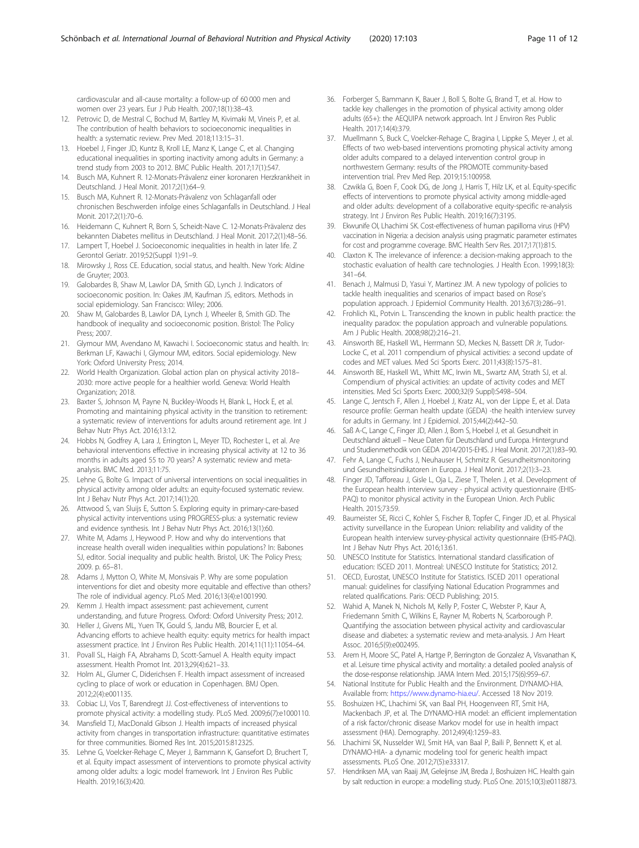<span id="page-10-0"></span>cardiovascular and all-cause mortality: a follow-up of 60 000 men and women over 23 years. Eur J Pub Health. 2007;18(1):38–43.

- 12. Petrovic D, de Mestral C, Bochud M, Bartley M, Kivimaki M, Vineis P, et al. The contribution of health behaviors to socioeconomic inequalities in health: a systematic review. Prev Med. 2018;113:15–31.
- 13. Hoebel J, Finger JD, Kuntz B, Kroll LE, Manz K, Lange C, et al. Changing educational inequalities in sporting inactivity among adults in Germany: a trend study from 2003 to 2012. BMC Public Health. 2017;17(1):547.
- 14. Busch MA, Kuhnert R. 12-Monats-Prävalenz einer koronaren Herzkrankheit in Deutschland. J Heal Monit. 2017;2(1):64–9.
- 15. Busch MA, Kuhnert R. 12-Monats-Prävalenz von Schlaganfall oder chronischen Beschwerden infolge eines Schlaganfalls in Deutschland. J Heal Monit. 2017;2(1):70–6.
- 16. Heidemann C, Kuhnert R, Born S, Scheidt-Nave C. 12-Monats-Prävalenz des bekannten Diabetes mellitus in Deutschland. J Heal Monit. 2017;2(1):48–56.
- 17. Lampert T, Hoebel J. Socioeconomic inequalities in health in later life. Z Gerontol Geriatr. 2019;52(Suppl 1):91–9.
- 18. Mirowsky J, Ross CE. Education, social status, and health. New York: Aldine de Gruyter; 2003.
- 19. Galobardes B, Shaw M, Lawlor DA, Smith GD, Lynch J. Indicators of socioeconomic position. In: Oakes JM, Kaufman JS, editors. Methods in social epidemiology. San Francisco: Wiley; 2006.
- 20. Shaw M, Galobardes B, Lawlor DA, Lynch J, Wheeler B, Smith GD. The handbook of inequality and socioeconomic position. Bristol: The Policy Press; 2007.
- 21. Glymour MM, Avendano M, Kawachi I. Socioeconomic status and health. In: Berkman LF, Kawachi I, Glymour MM, editors. Social epidemiology. New York: Oxford University Press; 2014.
- 22. World Health Organization. Global action plan on physical activity 2018– 2030: more active people for a healthier world. Geneva: World Health Organization; 2018.
- 23. Baxter S, Johnson M, Payne N, Buckley-Woods H, Blank L, Hock E, et al. Promoting and maintaining physical activity in the transition to retirement: a systematic review of interventions for adults around retirement age. Int J Behav Nutr Phys Act. 2016;13:12.
- 24. Hobbs N, Godfrey A, Lara J, Errington L, Meyer TD, Rochester L, et al. Are behavioral interventions effective in increasing physical activity at 12 to 36 months in adults aged 55 to 70 years? A systematic review and metaanalysis. BMC Med. 2013;11:75.
- 25. Lehne G, Bolte G. Impact of universal interventions on social inequalities in physical activity among older adults: an equity-focused systematic review. Int J Behav Nutr Phys Act. 2017;14(1):20.
- 26. Attwood S, van Sluijs E, Sutton S. Exploring equity in primary-care-based physical activity interventions using PROGRESS-plus: a systematic review and evidence synthesis. Int J Behav Nutr Phys Act. 2016;13(1):60.
- 27. White M, Adams J, Heywood P. How and why do interventions that increase health overall widen inequalities within populations? In: Babones SJ, editor. Social inequality and public health. Bristol, UK: The Policy Press; 2009. p. 65–81.
- 28. Adams J, Mytton O, White M, Monsivais P. Why are some population interventions for diet and obesity more equitable and effective than others? The role of individual agency. PLoS Med. 2016;13(4):e1001990.
- 29. Kemm J. Health impact assessment: past achievement, current understanding, and future Progress. Oxford: Oxford University Press; 2012.
- 30. Heller J, Givens ML, Yuen TK, Gould S, Jandu MB, Bourcier E, et al. Advancing efforts to achieve health equity: equity metrics for health impact assessment practice. Int J Environ Res Public Health. 2014;11(11):11054–64.
- 31. Povall SL, Haigh FA, Abrahams D, Scott-Samuel A. Health equity impact assessment. Health Promot Int. 2013;29(4):621–33.
- 32. Holm AL, Glumer C, Diderichsen F. Health impact assessment of increased cycling to place of work or education in Copenhagen. BMJ Open. 2012;2(4):e001135.
- 33. Cobiac LJ, Vos T, Barendregt JJ. Cost-effectiveness of interventions to promote physical activity: a modelling study. PLoS Med. 2009;6(7):e1000110.
- Mansfield TJ, MacDonald Gibson J. Health impacts of increased physical activity from changes in transportation infrastructure: quantitative estimates for three communities. Biomed Res Int. 2015;2015:812325.
- 35. Lehne G, Voelcker-Rehage C, Meyer J, Bammann K, Gansefort D, Bruchert T, et al. Equity impact assessment of interventions to promote physical activity among older adults: a logic model framework. Int J Environ Res Public Health. 2019;16(3):420.
- 36. Forberger S, Bammann K, Bauer J, Boll S, Bolte G, Brand T, et al. How to tackle key challenges in the promotion of physical activity among older adults (65+): the AEQUIPA network approach. Int J Environ Res Public Health. 2017;14(4):379.
- 37. Muellmann S, Buck C, Voelcker-Rehage C, Bragina I, Lippke S, Meyer J, et al. Effects of two web-based interventions promoting physical activity among older adults compared to a delayed intervention control group in northwestern Germany: results of the PROMOTE community-based intervention trial. Prev Med Rep. 2019;15:100958.
- 38. Czwikla G, Boen F, Cook DG, de Jong J, Harris T, Hilz LK, et al. Equity-specific effects of interventions to promote physical activity among middle-aged and older adults: development of a collaborative equity-specific re-analysis strategy. Int J Environ Res Public Health. 2019;16(7):3195.
- 39. Ekwunife OI, Lhachimi SK. Cost-effectiveness of human papilloma virus (HPV) vaccination in Nigeria: a decision analysis using pragmatic parameter estimates for cost and programme coverage. BMC Health Serv Res. 2017;17(1):815.
- 40. Claxton K. The irrelevance of inference: a decision-making approach to the stochastic evaluation of health care technologies. J Health Econ. 1999;18(3): 341–64.
- 41. Benach J, Malmusi D, Yasui Y, Martinez JM. A new typology of policies to tackle health inequalities and scenarios of impact based on Rose's population approach. J Epidemiol Community Health. 2013;67(3):286–91.
- 42. Frohlich KL, Potvin L. Transcending the known in public health practice: the inequality paradox: the population approach and vulnerable populations. Am J Public Health. 2008;98(2):216–21.
- 43. Ainsworth BE, Haskell WL, Herrmann SD, Meckes N, Bassett DR Jr, Tudor-Locke C, et al. 2011 compendium of physical activities: a second update of codes and MET values. Med Sci Sports Exerc. 2011;43(8):1575–81.
- 44. Ainsworth BE, Haskell WL, Whitt MC, Irwin ML, Swartz AM, Strath SJ, et al. Compendium of physical activities: an update of activity codes and MET intensities. Med Sci Sports Exerc. 2000;32(9 Suppl):S498–504.
- 45. Lange C, Jentsch F, Allen J, Hoebel J, Kratz AL, von der Lippe E, et al. Data resource profile: German health update (GEDA) -the health interview survey for adults in Germany. Int J Epidemiol. 2015;44(2):442–50.
- 46. Saß A-C, Lange C, Finger JD, Allen J, Born S, Hoebel J, et al. Gesundheit in Deutschland aktuell – Neue Daten für Deutschland und Europa. Hintergrund und Studienmethodik von GEDA 2014/2015-EHIS. J Heal Monit. 2017;2(1):83–90.
- 47. Fehr A, Lange C, Fuchs J, Neuhauser H, Schmitz R. Gesundheitsmonitoring und Gesundheitsindikatoren in Europa. J Heal Monit. 2017;2(1):3–23.
- 48. Finger JD, Tafforeau J, Gisle L, Oja L, Ziese T, Thelen J, et al. Development of the European health interview survey - physical activity questionnaire (EHIS-PAQ) to monitor physical activity in the European Union. Arch Public Health. 2015;73:59.
- 49. Baumeister SE, Ricci C, Kohler S, Fischer B, Topfer C, Finger JD, et al. Physical activity surveillance in the European Union: reliability and validity of the European health interview survey-physical activity questionnaire (EHIS-PAQ). Int J Behav Nutr Phys Act. 2016;13:61.
- 50. UNESCO Institute for Statistics. International standard classification of education: ISCED 2011. Montreal: UNESCO Institute for Statistics; 2012.
- 51. OECD, Eurostat, UNESCO Institute for Statistics. ISCED 2011 operational manual: guidelines for classifying National Education Programmes and related qualifications. Paris: OECD Publishing; 2015.
- 52. Wahid A, Manek N, Nichols M, Kelly P, Foster C, Webster P, Kaur A, Friedemann Smith C, Wilkins E, Rayner M, Roberts N, Scarborough P. Quantifying the association between physical activity and cardiovascular disease and diabetes: a systematic review and meta-analysis. J Am Heart Assoc. 2016;5(9):e002495.
- 53. Arem H, Moore SC, Patel A, Hartge P, Berrington de Gonzalez A, Visvanathan K, et al. Leisure time physical activity and mortality: a detailed pooled analysis of the dose-response relationship. JAMA Intern Med. 2015;175(6):959–67.
- 54. National Institute for Public Health and the Environment. DYNAMO-HIA. Available from: <https://www.dynamo-hia.eu/>. Accessed 18 Nov 2019.
- 55. Boshuizen HC, Lhachimi SK, van Baal PH, Hoogenveen RT, Smit HA, Mackenbach JP, et al. The DYNAMO-HIA model: an efficient implementation of a risk factor/chronic disease Markov model for use in health impact assessment (HIA). Demography. 2012;49(4):1259–83.
- 56. Lhachimi SK, Nusselder WJ, Smit HA, van Baal P, Baili P, Bennett K, et al. DYNAMO-HIA- a dynamic modeling tool for generic health impact assessments. PLoS One. 2012;7(5):e33317.
- 57. Hendriksen MA, van Raaij JM, Geleijnse JM, Breda J, Boshuizen HC. Health gain by salt reduction in europe: a modelling study. PLoS One. 2015;10(3):e0118873.